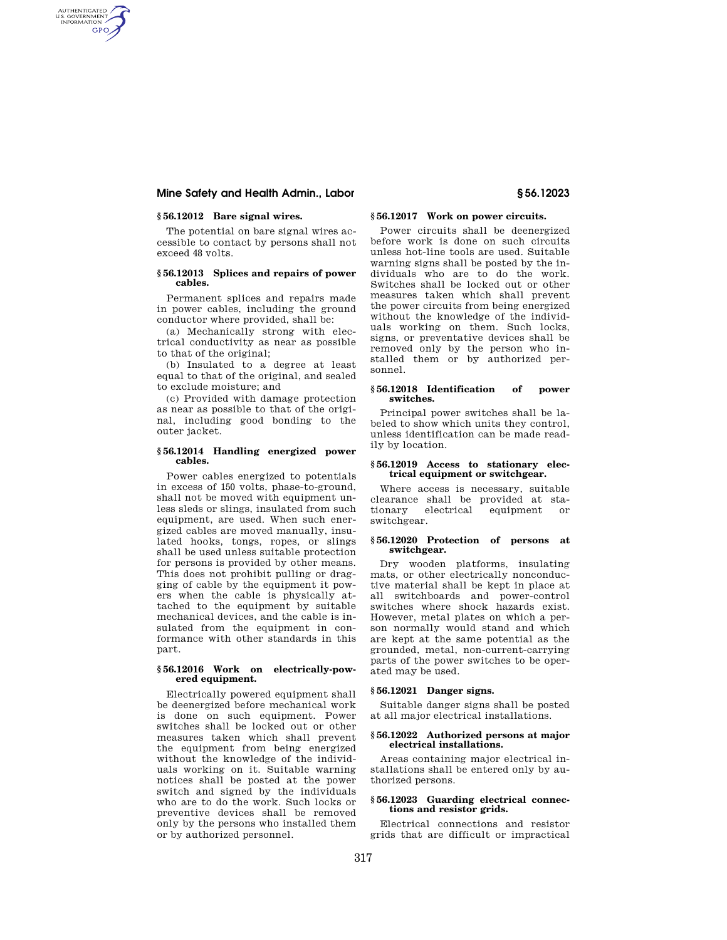# **Mine Safety and Health Admin., Labor § 56.12023**

# **§ 56.12012 Bare signal wires.**

AUTHENTICATED<br>U.S. GOVERNMENT<br>INFORMATION GPO

> The potential on bare signal wires accessible to contact by persons shall not exceed 48 volts.

# **§ 56.12013 Splices and repairs of power cables.**

Permanent splices and repairs made in power cables, including the ground conductor where provided, shall be:

(a) Mechanically strong with electrical conductivity as near as possible to that of the original;

(b) Insulated to a degree at least equal to that of the original, and sealed to exclude moisture; and

(c) Provided with damage protection as near as possible to that of the original, including good bonding to the outer jacket.

#### **§ 56.12014 Handling energized power cables.**

Power cables energized to potentials in excess of 150 volts, phase-to-ground, shall not be moved with equipment unless sleds or slings, insulated from such equipment, are used. When such energized cables are moved manually, insulated hooks, tongs, ropes, or slings shall be used unless suitable protection for persons is provided by other means. This does not prohibit pulling or dragging of cable by the equipment it powers when the cable is physically attached to the equipment by suitable mechanical devices, and the cable is insulated from the equipment in conformance with other standards in this part.

#### **§ 56.12016 Work on electrically-powered equipment.**

Electrically powered equipment shall be deenergized before mechanical work is done on such equipment. Power switches shall be locked out or other measures taken which shall prevent the equipment from being energized without the knowledge of the individuals working on it. Suitable warning notices shall be posted at the power switch and signed by the individuals who are to do the work. Such locks or preventive devices shall be removed only by the persons who installed them or by authorized personnel.

# **§ 56.12017 Work on power circuits.**

Power circuits shall be deenergized before work is done on such circuits unless hot-line tools are used. Suitable warning signs shall be posted by the individuals who are to do the work. Switches shall be locked out or other measures taken which shall prevent the power circuits from being energized without the knowledge of the individuals working on them. Such locks, signs, or preventative devices shall be removed only by the person who installed them or by authorized personnel.

#### **§ 56.12018 Identification of power switches.**

Principal power switches shall be labeled to show which units they control, unless identification can be made readily by location.

#### **§ 56.12019 Access to stationary electrical equipment or switchgear.**

Where access is necessary, suitable clearance shall be provided at stationary electrical equipment or switchgear.

# **§ 56.12020 Protection of persons at switchgear.**

Dry wooden platforms, insulating mats, or other electrically nonconductive material shall be kept in place at all switchboards and power-control switches where shock hazards exist. However, metal plates on which a person normally would stand and which are kept at the same potential as the grounded, metal, non-current-carrying parts of the power switches to be operated may be used.

### **§ 56.12021 Danger signs.**

Suitable danger signs shall be posted at all major electrical installations.

# **§ 56.12022 Authorized persons at major electrical installations.**

Areas containing major electrical installations shall be entered only by authorized persons.

### **§ 56.12023 Guarding electrical connections and resistor grids.**

Electrical connections and resistor grids that are difficult or impractical